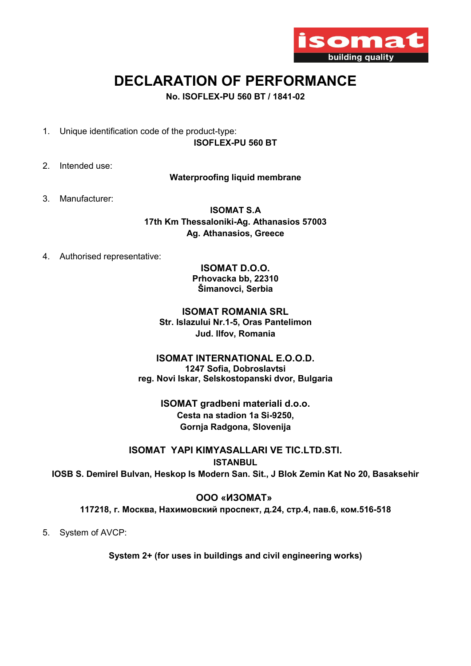

# DECLARATION OF PERFORMANCE

No. ISOFLEX-PU 560 BT / 1841-02

- 1. Unique identification code of the product-type: ISOFLEX-PU 560 BT
- 2. Intended use:

Waterproofing liquid membrane

3. Manufacturer:

ISOMAT S.A 17th Km Thessaloniki-Ag. Athanasios 57003 Ag. Athanasios, Greece

4. Authorised representative:

ISOMAT D.O.O. Prhovacka bb, 22310 Šimanovci, Serbia

ISOMAT ROMANIA SRL Str. Islazului Nr.1-5, Oras Pantelimon Jud. Ilfov, Romania

ISOMAT INTERNATIONAL E.O.O.D. 1247 Sofia, Dobroslavtsi reg. Novi Iskar, Selskostopanski dvor, Bulgaria

> ΙSOMAT gradbeni materiali d.o.o. Cesta na stadion 1a Si-9250, Gornja Radgona, Slovenija

ISOMAT YAPI KIMYASALLARI VE TIC.LTD.STI. **ISTANBUL** IOSB S. Demirel Bulvan, Heskop Is Modern San. Sit., J Blok Zemin Kat No 20, Basaksehir

ООО «ИЗОМАТ» 117218, г. Москва, Нахимовский проспект, д.24, стр.4, пав.6, ком.516-518

5. System of AVCP:

System 2+ (for uses in buildings and civil engineering works)